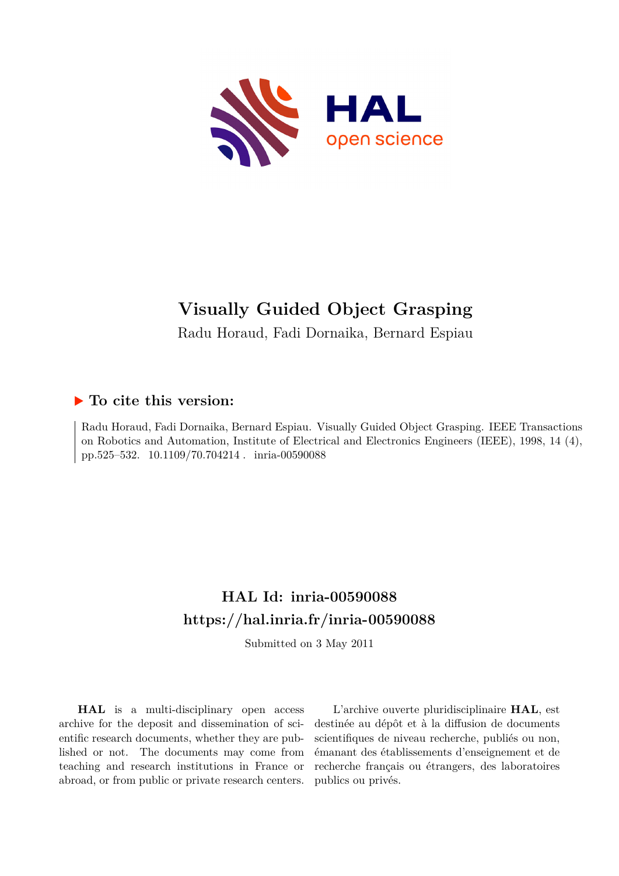

## **Visually Guided Object Grasping**

Radu Horaud, Fadi Dornaika, Bernard Espiau

## **To cite this version:**

Radu Horaud, Fadi Dornaika, Bernard Espiau. Visually Guided Object Grasping. IEEE Transactions on Robotics and Automation, Institute of Electrical and Electronics Engineers (IEEE), 1998, 14 (4), pp.525–532. 10.1109/70.704214. inria-00590088

## **HAL Id: inria-00590088 <https://hal.inria.fr/inria-00590088>**

Submitted on 3 May 2011

**HAL** is a multi-disciplinary open access archive for the deposit and dissemination of scientific research documents, whether they are published or not. The documents may come from teaching and research institutions in France or abroad, or from public or private research centers.

L'archive ouverte pluridisciplinaire **HAL**, est destinée au dépôt et à la diffusion de documents scientifiques de niveau recherche, publiés ou non, émanant des établissements d'enseignement et de recherche français ou étrangers, des laboratoires publics ou privés.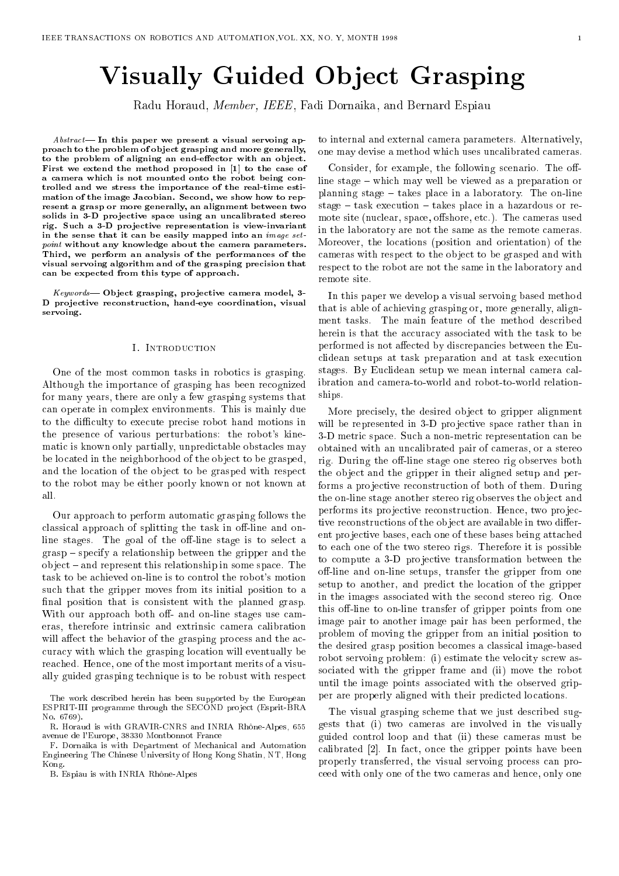# Visually Guided Ob ject Grasping

Radu Horaud, Member, IEEE, Fadi Dornaika, and Bernard Espiau

 $Abstract$ — In this paper we present a visual servoing approach to the problem of ob ject grasping and more generally, to the problem of aligning an end-eector with an ob ject. First we extend the method proposed in [1] to the case of a camera which is not mounted onto the robot being controlled and we stress the importance of the real-time estimation of the image Jacobian. Second, we show how to represent <sup>a</sup> grasp or more generally, an alignment between two solids in 3-D pro jective space using an uncalibrated stereo rig. Such <sup>a</sup> 3-D pro jective representation is view-invariant in the sense that it can be easily mapped into an image setpoint without any knowledge about the camera parameters. Third, we perform an analysis of the performances of the visual servoing algorithm and of the grasping precision that can be expected from this type of approach.

Keywords-Object grasping, projective camera model, 3-D pro jective reconstruction, hand-eye coordination, visual servoing.

One of the most common tasks in robotics is grasping. Although the importance of grasping has been recognized for many years, there are only a few grasping systems that can operate in complex environments. This is mainly due to the difficulty to execute precise robot hand motions in the presence of various perturbations: the robot's kinematic is known only partially, unpredictable obstacles may be located in the neighborhood of the object to be grasped, and the location of the object to be grasped with respect to the robot may be either poorly known or not known at all.

Our approach to perform automatic grasping follows the classical approach of splitting the task in off-line and online stages. The goal of the off-line stage is to select a  $grasp - specify a relationship between the gripper and the$  $object - and represent this relationship in some space. The$ task to be achieved on-line is to control the robot's motion such that the gripper moves from its initial position to a final position that is consistent with the planned grasp. With our approach both off- and on-line stages use cameras, therefore intrinsic and extrinsic camera calibration will affect the behavior of the grasping process and the accuracy with which the grasping location will eventually be reached. Hence, one of the most important merits of a visually guided grasping technique is to be robust with respect

to internal and external camera parameters. Alternatively, one may devise a method which uses uncalibrated cameras.

Consider, for example, the following scenario. The offline stage  $=$  which may well be viewed as a preparation or planning stage  $-$  takes place in a laboratory. The on-line  $stage - task execution - takes place in a hazardous or re$ mote site (nuclear, space, offshore, etc.). The cameras used in the laboratory are not the same as the remote cameras. Moreover, the locations (position and orientation) of the cameras with respect to the object to be grasped and with respect to the robot are not the same in the laboratory and remote site.

In this paper we develop a visual servoing based method that is able of achieving grasping or, more generally, alignment tasks. The main feature of the method described herein is that the accuracy associated with the task to be performed is not affected by discrepancies between the Euclidean setups at task preparation and at task execution stages. By Euclidean setup we mean internal camera calibration and camera-to-world and robot-to-world relationships.

More precisely, the desired ob ject to gripper alignment will be represented in 3-D projective space rather than in 3-D metric space. Such a non-metric representation can be obtained with an uncalibrated pair of cameras, or a stereo rig. During the off-line stage one stereo rig observes both the ob ject and the gripper in their aligned setup and performs a projective reconstruction of both of them. During the on-line stage another stereo rig observes the object and performs its projective reconstruction. Hence, two projective reconstructions of the object are available in two different projective bases, each one of these bases being attached to each one of the two stereo rigs. Therefore it is possible to compute a 3-D projective transformation between the off-line and on-line setups, transfer the gripper from one setup to another, and predict the location of the gripper in the images associated with the second stereo rig. Once this off-line to on-line transfer of gripper points from one image pair to another image pair has been performed, the problem of moving the gripper from an initial position to the desired grasp position becomes a classical image-based robot servoing problem: (i) estimate the velocity screw associated with the gripper frame and (ii) move the robot until the image points associated with the observed gripper are properly aligned with their predicted locations.

The visual grasping scheme that we just described suggests that (i) two cameras are involved in the visually guided control loop and that (ii) these cameras must be calibrated [2]. In fact, once the gripper points have been properly transferred, the visual servoing process can proceed with only one of the two cameras and hence, only one

The work described herein has been supported by the European The work described herein has been supported by the European ESPRIT-III programme through the SECOND project (Esprit-BRA No. 6769). . . . . . . . . .

R. Horaud is with GRAVIR-CNRS and INRIA Rh^one-Alpes, 655 avenue de l'Europe, 38330 Montbonnot France

F. Dornaika is with Department of Mechanical and Automation Engineering The Chinese University of Hong Kong Shatin, NT, Hong Kong.

B. Espiau is with INRIA Rh^one-Alpes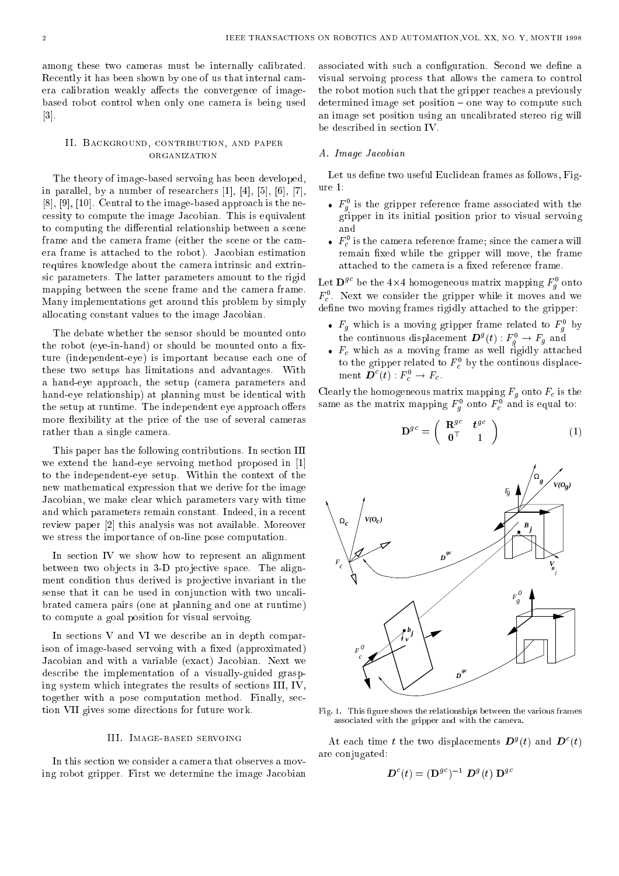among these two cameras must be internally calibrated. Recently it has been shown by one of us that internal camera calibration weakly affects the convergence of imagebased robot control when only one camera is being used [3].

### II. Background, contribution, and paper is a contribution, and paper is a contribution, and paper is a contribution, organization

The theory of image-based servoing has been developed, in parallel, by a number of researchers  $[1]$ ,  $[4]$ ,  $[5]$ ,  $[6]$ ,  $[7]$ , [8], [9], [10]. Central to the image-based approach is the necessity to compute the image Jacobian. This is equivalent to computing the differential relationship between a scene frame and the camera frame (either the scene or the camera frame is attached to the robot). Jacobian estimation requires knowledge about the camera intrinsic and extrinsic parameters. The latter parameters amount to the rigid mapping between the scene frame and the camera frame. Many implementations get around this problem by simply allocating constant values to the image Jacobian.

The debate whether the sensor should be mounted onto the robot (eye-in-hand) or should be mounted onto a fixture (independent-eye) is important because each one of these two setups has limitations and advantages. With a hand-eye approach, the setup (camera parameters and hand-eye relationship) at planning must be identical with the setup at runtime. The independent eye approach offers more flexibility at the price of the use of several cameras rather than a single camera.

This paper has the following contributions. In section III we extend the hand-eye servoing method proposed in [1] to the independent-eye setup. Within the context of the new mathematical expression that we derive for the image Jacobian, we make clear which parameters vary with time and which parameters remain constant. Indeed, in a recent review paper [2] this analysis was not available. Moreover we stress the importance of on-line pose computation.

In section IV we show how to represent an alignment between two objects in 3-D projective space. The alignment condition thus derived is projective invariant in the sense that it can be used in conjunction with two uncalibrated camera pairs (one at planning and one at runtime) to compute a goal position for visual servoing.

In sections V and VI we describe an in depth comparison of image-based servoing with a fixed (approximated) Jacobian and with a variable (exact) Jacobian. Next we describe the implementation of a visually-guided grasping system which integrates the results of sections III, IV, together with a pose computation method. Finally, section VII gives some directions for future work.

In this section we consider a camera that observes a moving robot gripper. First we determine the image Jacobian associated with such a configuration. Second we define a visual servoing process that allows the camera to control the robot motion such that the gripper reaches a previously determined image set position  $-$  one way to compute such an image set position using an uncalibrated stereo rig will be described in section IV.

### A. Image Jacobian

Let us define two useful Euclidean frames as follows, Fig $ure<sub>1</sub>:$ 

- $F_q^0$  is the gripper reference frame associated with the ggripper in its initial position prior to visual servoing and
- $\bullet$   $F_c^0$  is the camera reference frame; since the camera will remain fixed while the gripper will move, the frame attached to the camera is a fixed reference frame.

Let  $\mathbf{D}^{gc}$  be the 4×4 homogeneous matrix mapping  $F_g^0$  onto  $F_c^0$ . Next we consider the gripper while it moves and we define two moving frames rigidly attached to the gripper:

- $F_g$  which is a moving gripper frame related to  $F_g^0$  by the continuous displacement  $\mathbf{D}^g(t)$ :  $F_g^0 \to F_g$  and
- Fc which as <sup>a</sup> moving frame as well rigidly attached to the gripper related to  $F_c^0$  by the continous displace-<br>ment  $\mathbf{D}^c(t)$ :  $F_c^0 \to F_c$ .

Clearly the homogeneous matrix mapping Fg onto Fc is the same as the matrix mapping  $F_g^0$  onto  $F_c^0$  and is equal to:

$$
\mathbf{D}^{gc} = \left(\begin{array}{cc} \mathbf{R}^{gc} & t^{gc} \\ \mathbf{0}^{\top} & 1 \end{array}\right) \tag{1}
$$



Fig. 1. This figure shows the relationships between the various frames associated with the gripper and with the camera.

At each time t the two displacements  $\mathbf{D}^g(t)$  and  $\mathbf{D}^c(t)$ are conjugated:

$$
\boldsymbol{D}^c(t) = (\mathbf{D}^{gc})^{-1} \ \boldsymbol{D}^g(t) \ \mathbf{D}^{gc}
$$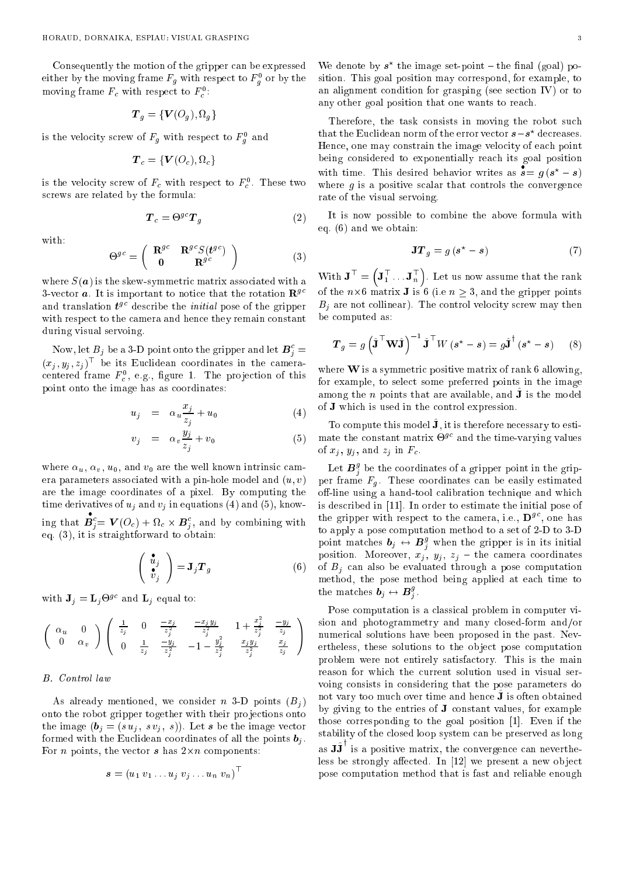Consequently the motion of the gripper can be expressed either by the moving frame  $F_g$  with respect to  $F_g^0$  or by the moving frame  $F_c$  with respect to  $F_c^0$ :

$$
\boldsymbol{T}_g = \{\boldsymbol{V}(O_g), \Omega_g\}
$$

is the velocity screw of  $F_g$  with respect to  $F_g^0$  and

$$
\boldsymbol{T}_c = \{\boldsymbol{V}(O_c), \Omega_c\}
$$

is the velocity screw of  $F_c$  with respect to  $F_c^0$ . These two  $\overline{\phantom{a}}$ screws are related by the formula:

$$
T_c = \Theta^{gc} T_g \tag{2}
$$

$$
\Theta^{gc} = \left(\begin{array}{cc} \mathbf{R}^{gc} & \mathbf{R}^{gc} S(t^{gc}) \\ \mathbf{0} & \mathbf{R}^{gc} \end{array}\right) \tag{3}
$$

where  $S(a)$  is the skew-symmetric matrix associated with a 3-vector **a**. It is important to notice that the rotation  $\mathbf{R}^{gc}$ and translation  $t^{gc}$  describe the *initial* pose of the gripper with respect to the camera and hence they remain constant during visual servoing.

Now, let  $B_j$  be a 3-D point onto the gripper and let  $\boldsymbol{B}_j^c = \boldsymbol{b}_j$  $(x_i, y_i, z_j)$  be its Euclidean coordinates in the cameracentered frame  $F_c^0$ , e.g., figure 1. The projection of this point onto the image has as coordinates:

$$
u_j = \alpha_u \frac{x_j}{z_j} + u_0 \tag{4}
$$

$$
v_j = \alpha_v \frac{y_j}{z_j} + v_0 \tag{5}
$$

where  $\alpha_u, \alpha_v, u_0,$  and  $v_0$  are the well known intrinsic camera parameters associated with a pin-hole model and  $(u, v)$ are the image coordinates of a pixel. By computing the time derivatives of up and via  $\mathcal{A}$  in equations (4) and (5), knowing that  $\mathbf{B}_{j}^{c} = \mathbf{V}(O_{c}) + \Omega_{c} \times \mathbf{B}_{j}^{c}$ , and by combining with eq. (3), it is straightforward to obtain:

$$
\begin{pmatrix} \mathbf{\dot{u}}_j \\ \mathbf{\dot{v}}_j \end{pmatrix} = \mathbf{J}_j \boldsymbol{T}_g \tag{6}
$$

with  $J_i = L_i \mathcal{O}^{s}$  and  $L_i$  equal to:

$$
\left(\begin{array}{cc} \alpha_u & 0 \\ 0 & \alpha_v \end{array}\right) \left(\begin{array}{ccc} \frac{1}{z_j} & 0 & \frac{-x_j}{z_j^2} & \frac{-x_j y_j}{z_j^2} & 1 + \frac{x_j^2}{z_j^2} & \frac{-y_j}{z_j} \\ 0 & \frac{1}{z_j} & \frac{-y_j}{z_j^2} & -1 - \frac{y_j^2}{z_j^2} & \frac{x_j y_j}{z_j^2} & \frac{x_j}{z_j} \end{array}\right)
$$

### B. Control law

 $\mathcal{A}$  as alleged, we consider notice n  $\mathcal{A}$  and  $\mathcal{B}$ onto the robot gripper together with their projections onto the image  $(b_i = (s u_i, s v_i, s))$ . Let s be the image vector formed with the Euclidean coordinates of all the points  $\bm{b}_j$ . For *n* points, the vector *s* has  $2 \times n$  components:

$$
\boldsymbol{s} = (u_1 \ v_1 \dots u_j \ v_j \dots u_n \ v_n)^\top
$$

We denote by  $s^*$  the image set-point  $-$  the final (goal) position. This goal position may correspond, for example, to an alignment condition for grasping (see section IV) or to any other goal position that one wants to reach.

Therefore, the task consists in moving the robot such that the Euclidean norm of the error vector  $s\!-\!s$   $^{\circ}$  decreases. Hence, one may constrain the image velocity of each point being considered to exponentially reach its goal position with time. This desired behavior writes as  $s = g(s^* - s)$ where  $g$  is a positive scalar that controls the convergence rate of the visual servoing.

It is now possible to combine the above formula with eq. (6) and we obtain:

$$
\mathbf{J}\boldsymbol{T}_{g} = g\left(\boldsymbol{s}^{\star} - \boldsymbol{s}\right) \tag{7}
$$

With  $J =$  $\left(\mathbf{J}_1^{\top} \dots \mathbf{J}_n^{\top}\right)$ of the n-city distribution of the gripper points of the gripper points and the gripper points of the gripper points of the gripper points of the gripper points of the gripper points of the gripper points of the gripper poi By are not collinear). The collinear of collinear may then  $\mathcal{A}$ be computed as:

 $\sim$ 

$$
\boldsymbol{T}_g = g \left(\hat{\boldsymbol{\mathsf{J}}}^\top \mathbf{W} \hat{\boldsymbol{\mathsf{J}}}\right)^{-1} \hat{\boldsymbol{\mathsf{J}}}^\top W \left(s^\star - s\right) = g \hat{\boldsymbol{\mathsf{J}}}^\dagger \left(s^\star - s\right) \tag{8}
$$

where  $W$  is a symmetric positive matrix of rank 6 allowing, for example, to select some preferred points in the image among the *n* points that are available, and  $\hat{J}$  is the model of <sup>J</sup> which is used in the control expression.

To compute this model  $\hat{\mathbf{J}}$ , it is therefore necessary to estimate the constant matrix  $\Theta^{s-}$  and the time-varying values of  $\boldsymbol{\mu}$  ,  $\boldsymbol{\mu}$  ,  $\boldsymbol{\mu}$  , and  $\boldsymbol{\mu}$  in Fig. , and  $\boldsymbol{\mu}$  in Fig. , and  $\boldsymbol{\mu}$ 

Let  $\mathbf{B}_{j}^{g}$  be the coordinates of a gripper point in the gripper frame Fg . These coordinates can be easily estimated off-line using a hand-tool calibration technique and which is described in [11]. In order to estimate the initial pose of the gripper with respect to the camera, i.e.,  $\mathbf{D}^{s}$ , one has to apply a pose computation method to a set of 2-D to 3-D point matches  $\bm{b}_j \, \leftrightarrow \, \bm{B}_j^g$  when the gripper is in its initial position. Moreover, xj , yj , zj { the camera coordinates of Bj can also be evaluated through a pose computation and the pose computation of the pose computation of the method, the pose method being applied at each time to the matches  $\bm{b}_i \leftrightarrow \bm{B}_i^g$ . j

Pose computation is a classical problem in computer vision and photogrammetry and many closed-form and/or numerical solutions have been proposed in the past. Nevertheless, these solutions to the object pose computation problem were not entirely satisfactory. This is the main reason for which the current solution used in visual servoing consists in considering that the pose parameters do not vary too much over time and hence **J** is often obtained by giving to the entries of <sup>J</sup> constant values, for example those corresponding to the goal position [1]. Even if the stability of the closed loop system can be preserved as long as  $JJ'$  is a positive matrix, the convergence can nevertheless be strongly affected. In  $[12]$  we present a new object pose computation method that is fast and reliable enough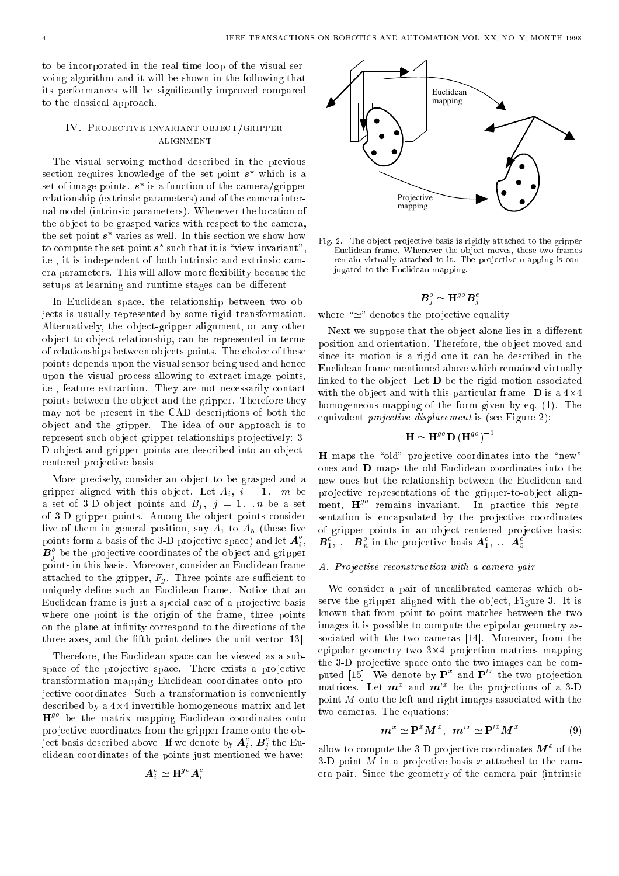to be incorporated in the real-time loop of the visual servoing algorithm and it will be shown in the following that its performances will be signicantly improved compared to the classical approach.

### IV. Projective invariant object/gripper **ALIGNMENT**

The visual servoing method described in the previous section requires knowledge of the set-point  $s^{\scriptscriptstyle\wedge}$  which is a set of image points.  $s^{\scriptscriptstyle +}$  is a function of the camera/gripper relationship (extrinsic parameters) and of the camera internal model (intrinsic parameters). Whenever the location of the object to be grasped varies with respect to the camera, the set-point s? varies as well. In this section we show how to compute the set-point  $s$   $\hat{\ }$  such that it is  $\hat{\ }$  view-invariant  $\hat{\ }$  , i.e., it is independent of both intrinsic and extrinsic camera parameters. This will allow more flexibility because the setups at learning and runtime stages can be different.

In Euclidean space, the relationship between two objects is usually represented by some rigid transformation. Alternatively, the ob ject-gripper alignment, or any other ob ject-to-ob ject relationship, can be represented in terms of relationships between ob jects points. The choice of these points depends upon the visual sensor being used and hence upon the visual process allowing to extract image points, i.e., feature extraction. They are not necessarily contact points between the object and the gripper. Therefore they may not be present in the CAD descriptions of both the ob ject and the gripper. The idea of our approach is to represent such object-gripper relationships projectively: 3-D object and gripper points are described into an objectcentered projective basis.

More precisely, consider an object to be grasped and a gripper aligned with the solution  $\mathcal{L} = \{1, \ldots, n \}$ a set of 3-D observed points and Bj  $\mu$  is and Bj  $\mu$  is and Bj  $\mu$  is and Bj  $\mu$  is and Bj  $\mu$  is and Bj  $\mu$ of 3-D gripper points. Among the object points consider five of them in general position, say  $A_1$  to  $A_5$  (these five points form a basis of the 3-D projective space) and let  $A_i^o$ ,  $\boldsymbol{B}_{i}^{o}$  be the projective coordinates of the object and gripper jpoints in this basis. Moreover, consider an Euclidean frame attached to the gripper, Fg . Three points are sucient to uniquely define such an Euclidean frame. Notice that an Euclidean frame is just a special case of a projective basis where one point is the origin of the frame, three points on the plane at infinity correspond to the directions of the three axes, and the fifth point defines the unit vector  $[13]$ .

Therefore, the Euclidean space can be viewed as a subspace of the projective space. There exists a projective transformation mapping Euclidean coordinates onto projective coordinates. Such a transformation is conveniently described by a 4-4 invertible homogeneous matrix and let  $H<sup>go</sup>$  be the matrix mapping Euclidean coordinates onto projective coordinates from the gripper frame onto the object basis described above. If we denote by  $\boldsymbol{A}^e_i, \boldsymbol{B}^e_j$  the Euclidean coordinates of the points just mentioned we have:

$$
\boldsymbol{A}^o_i\simeq \mathbf{H}^{go}\boldsymbol{A}^e_i
$$



Fig. 2. The object projective basis is rigidly attached to the gripper Euclidean frame. Whenever the object moves, these two frames remain virtually attached to it. The projective mapping is conjugated to the Euclidean mapping.

$$
\boldsymbol{B}^o_j\simeq \mathbf{H}^{go}\boldsymbol{B}^e_j
$$

where " $\simeq$ " denotes the projective equality.

Next we suppose that the object alone lies in a different position and orientation. Therefore, the object moved and since its motion is a rigid one it can be described in the Euclidean frame mentioned above which remained virtually linked to the object. Let  $D$  be the rigid motion associated with the object and with this particular frame. During the second  $\sim$ homogeneous mapping of the form given by eq. (1). The equivalent projective displacement is (see Figure 2):

$$
\mathbf{H} \simeq \mathbf{H}^{go} \mathbf{D} (\mathbf{H}^{go})^{-1}
$$

 $H$  maps the "old" projective coordinates into the "new" ones and <sup>D</sup> maps the old Euclidean coordinates into the new ones but the relationship between the Euclidean and projective representations of the gripper-to-object alignment,  $H^{go}$  remains invariant. In practice this representation is encapsulated by the projective coordinates of gripper points in an object centered projective basis:  $\bm{B}_1^o, \ \ldots \bm{B}_n^o$  in the projective basis  $\bm{A}_1^o, \ \ldots \bm{A}_5^o.$ 

### A. Projective reconstruction with a camera pair

n

We consider a pair of uncalibrated cameras which observe the gripper aligned with the object, Figure 3. It is known that from point-to-point matches between the two images it is possible to compute the epipolar geometry associated with the two cameras [14]. Moreover, from the epipolar geometry two 3-4 pro jection matrices mapping the 3-D projective space onto the two images can be computed  $|15|$ . We denote by  $P^+$  and  $P^-$  the two projection matrices. Let  $m^{\ast}$  and  $m^{\ast}$  be the projections of a 3-D point M onto the left and right images associated with the two cameras. The equations:

$$
m^x \simeq \mathbf{P}^x M^x, \ \ m'^x \simeq \mathbf{P}'^x M^x \tag{9}
$$

allow to compute the 3-D projective coordinates  $\boldsymbol{M}^x$  of the 3-D point M in a projective basis x attached to the camera pair. Since the geometry of the camera pair (intrinsic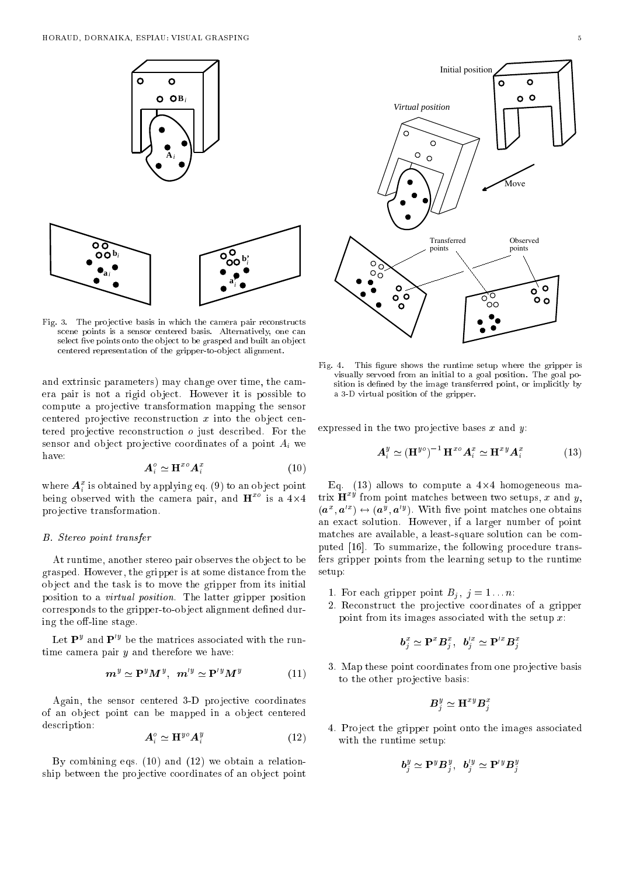

Fig. 3. The projective basis in which the camera pair reconstructs scene points is a sensor centered basis. Alternatively, one can select five points onto the object to be grasped and built an object centered representation of the gripper-to-ob ject alignment.

and extrinsic parameters) may change over time, the camera pair is not a rigid ob ject. However it is possible to compute a projective transformation mapping the sensor centered projective reconstruction  $x$  into the object centered projective reconstruction  $o$  just described. For the sensor and ob ject pro jective coordinates of a point Ai we have:

$$
\mathbf{A}_i^o \simeq \mathbf{H}^{xo} \mathbf{A}_i^x \tag{10}
$$

where  $A_i^x$  is obtained by applying eq. (9) to an object point being observed with the camera pair, and  $\mathbf{H}^{x_0}$  is a  $4\times4$ pro jective transformation.

### B. Stereo point transfer

At runtime, another stereo pair observes the object to be grasped. However, the gripper is at some distance from the ob ject and the task is to move the gripper from its initial position to a virtual position. The latter gripper position corresponds to the gripper-to-object alignment defined during the off-line stage.

Let  ${\bf P}^s$  and  ${\bf P}^s$  be the matrices associated with the runtime camera pair y and therefore we have:

$$
m^y \simeq \mathbf{P}^y M^y, \ \ m'^y \simeq \mathbf{P}'^y M^y \tag{11}
$$

Again, the sensor centered 3-D projective coordinates of an ob ject point can be mapped in a ob ject centered description:

$$
A_i^o \simeq \mathbf{H}^{yo} A_i^y \tag{12}
$$

By combining eqs. (10) and (12) we obtain a relationship between the projective coordinates of an object point



Fig. 4. This figure shows the runtime setup where the gripper is visually servoed from an initial to a goal position. The goal position is defined by the image transferred point, or implicitly by a 3-D virtual position of the gripper.

expressed in the two projective bases  $x$  and  $y$ .

$$
\mathbf{A}_{i}^{y} \simeq \left(\mathbf{H}^{yo}\right)^{-1} \mathbf{H}^{xo} \mathbf{A}_{i}^{x} \simeq \mathbf{H}^{xy} \mathbf{A}_{i}^{x} \tag{13}
$$

 $\mathbf{F}$  and  $\mathbf{F}$  allows to compute a 4-1-minute and  $\mathbf{F}$ trix  $\mathbf{H}^{xy}$  from point matches between two setups, x and y,  $(a^x, a^x) \leftrightarrow (a^y, a^y)$ . With five point matches one obtains an exact solution. However, if a larger number of point matches are available, a least-square solution can be computed [16]. To summarize, the following procedure transfers gripper points from the learning setup to the runtime setup:

- 1. For each gripper point Bj ; <sup>j</sup> <sup>=</sup> <sup>1</sup> : : : n:
- 2. Reconstruct the projective coordinates of a gripper point from its images associated with the setup  $x$ :

$$
\boldsymbol{b}_j^x \simeq \mathbf{P}^x \boldsymbol{B}_j^x, \ \boldsymbol{b}_j^{\prime x} \simeq \mathbf{P}^{\prime x} \boldsymbol{B}_j^x
$$

3. Map these point coordinates from one projective basis to the other projective basis:

$$
\boldsymbol{B}_j^y\simeq \mathbf{H}^{xy}\boldsymbol{B}_j^x
$$

4. Project the gripper point onto the images associated with the runtime setup:

$$
\boldsymbol{b}^y_j\simeq \mathbf{P}^y\boldsymbol{B}^y_j,~~\boldsymbol{b}'^y_j\simeq \mathbf{P}'^y\boldsymbol{B}^y_j
$$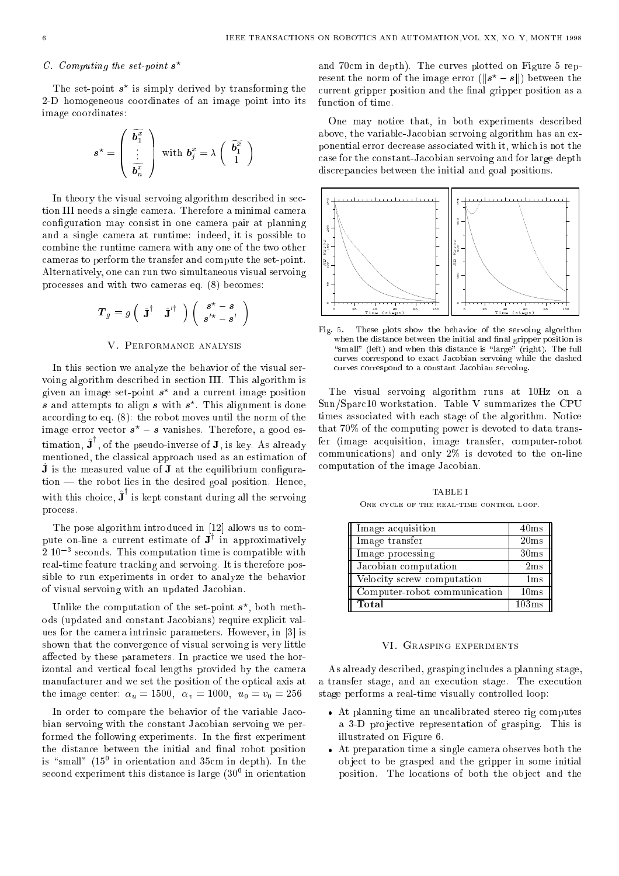### C. Computing the set-point  $s^*$

 $\overline{\phantom{a}}$ 

I ne set-point s<sup>o</sup> is simply derived by transforming the 2-D homogeneous coordinates of an image point into its image coordinates:

 $\sim$ 

$$
s^\star = \left(\begin{array}{c} \overline{\bm{b}_1^x} \\ \vdots \\ \overline{\bm{b}_n^x} \end{array}\right) \text{ with } \bm{b}_j^x = \lambda \left(\begin{array}{c} \widetilde{\bm{b}_1^x} \\ 1 \end{array}\right)
$$

In theory the visual servoing algorithm described in section III needs a single camera. Therefore a minimal camera conguration may consist in one camera pair at planning and a single camera at runtime: indeed, it is possible to combine the runtime camera with any one of the two other cameras to perform the transfer and compute the set-point. Alternatively, one can run two simultaneous visual servoing processes and with two cameras eq. (8) becomes:

$$
\boldsymbol{T}_g = g \left( \begin{array}{cc} \hat{\boldsymbol{\mathsf{j}}}^{\dagger} & \hat{\boldsymbol{\mathsf{j}}}^{\prime \dagger} \end{array} \right) \left( \begin{array}{c} s^{\star} - s \\ s^{\prime \star} - s^{\prime} \end{array} \right)
$$

 $\sim$ 

In this section we analyze the behavior of the visual servoing algorithm described in section III. This algorithm is given an image set-point s? and a current image position  $s$  and attempts to align  $s$  with  $s^*$ . This alignment is done according to eq. (8): the robot moves until the norm of the image error vector  $s^* - s$  vanishes. Therefore, a good estimation,  $J'$ , of the pseudo-inverse of  $J$ , is key. As already mentioned, the classical approach used as an estimation of J^ is the measured value of <sup>J</sup> at the equilibrium congura $t$ tion  $-$  the robot lies in the desired goal position. Hence, with this choice,  ${\bf J}^{\dagger}$  is kept constant during all the servoing process.

The pose algorithm introduced in [12] allows us to compute on-line a current estimate of **J**' in approximatively  $2.10^{-3}$  seconds. This computation time is compatible with real-time feature tracking and servoing. It is therefore possible to run experiments in order to analyze the behavior of visual servoing with an updated Jacobian.

Unlike the computation of the set-point  $s^*$ , both methods (updated and constant Jacobians) require explicit values for the camera intrinsic parameters. However, in [3] is shown that the convergence of visual servoing is very little affected by these parameters. In practice we used the horizontal and vertical focal lengths provided by the camera manufacturer and we set the position of the optical axis at the image center.  $\alpha_u = 1500$ ,  $\alpha_v = 1000$ ,  $u_0 = v_0 = 250$ 

In order to compare the behavior of the variable Jacobian servoing with the constant Jacobian servoing we performed the following experiments. In the first experiment the distance between the initial and final robot position is "small"  $(15^0$  in orientation and 35cm in depth). In the second experiment this distance is large  $(30^0)$  in orientation

and 70cm in depth). The curves plotted on Figure 5 represent the norm of the image error  $(\Vert s^* - s \Vert)$  between the current gripper position and the final gripper position as a function of time.

One may notice that, in both experiments described above, the variable-Jacobian servoing algorithm has an exponential error decrease associated with it, which is not the case for the constant-Jacobian servoing and for large depth discrepancies between the initial and goal positions.



 $Fig. 5.$ These plots show the behavior of the servoing algorithm when the distance between the initial and final gripper position is "small" (left) and when this distance is "large" (right). The full curves correspond to exact Jacobian servoing while the dashed curves correspond to a constant Jacobian servoing.

The visual servoing algorithm runs at 10Hz on a Sun/Sparc10 workstation. Table V summarizes the CPU times associated with each stage of the algorithm. Notice that 70% of the computing power is devoted to data transfer (image acquisition, image transfer, computer-robot communications) and only 2% is devoted to the on-line computation of the image Jacobian.

**TABLE I** ONE CYCLE OF THE REAL-TIME CONTROL LOOP.

| Image acquisition            | 40ms            |
|------------------------------|-----------------|
| Image transfer               | 20ms            |
| Image processing             | 30ms            |
| Jacobian computation         | 2 <sub>ms</sub> |
| Velocity screw computation   | 1 <sub>ms</sub> |
| Computer-robot communication | 10ms            |
| Total                        | 103ms           |

As already described, grasping includes a planning stage, a transfer stage, and an execution stage. The execution stage performs a real-time visually controlled loop:

- At planning time an uncalibrated stereo rig computes a 3-D projective representation of grasping. This is illustrated on Figure 6.
- At preparation time a single camera observes both the ob ject to be grasped and the gripper in some initial position. The locations of both the ob ject and the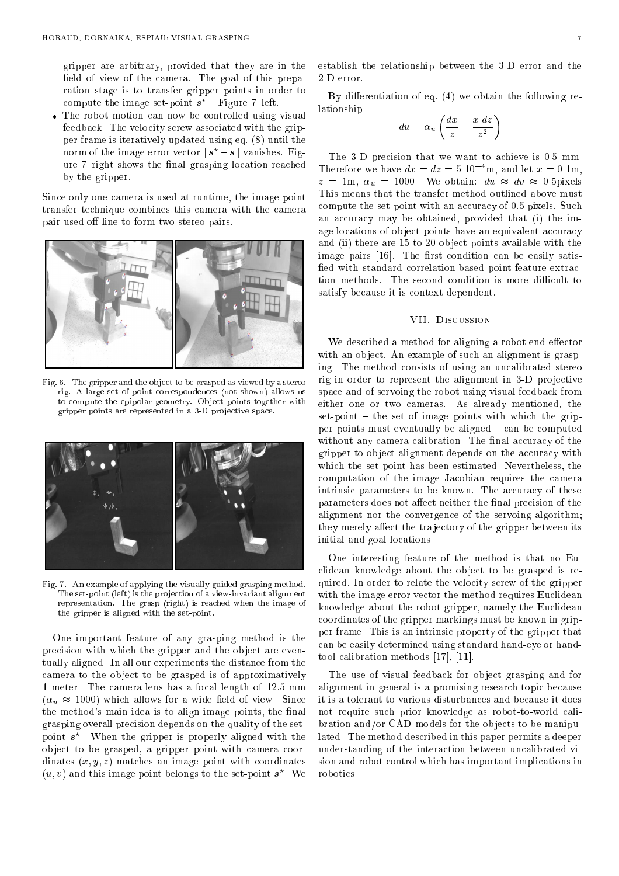gripper are arbitrary, provided that they are in the field of view of the camera. The goal of this preparation stage is to transfer gripper points in order to compute the image set-point  $s^*$  – Figure  $t$ -left.

 The robot motion can now be controlled using visual feedback. The velocity screw associated with the gripper frame is iteratively updated using eq. (8) until the norm of the image error vector  $||s^* - s||$  vanishes. Figure 7-right shows the final grasping location reached by the gripper.

Since only one camera is used at runtime, the image point transfer technique combines this camera with the camera pair used off-line to form two stereo pairs.



Fig. 6. The gripper and the object to be grasped as viewed by a stereo rig. A large set of point correspondences (not shown) allows us to compute the epipolar geometry. Object points together with gripper points are represented in a 3-D projective space.



Fig. 7. An example of applying the visually guided grasping method. The set-point (left) is the projection of a view-invariant alignment representation. The grasp (right) is reached when the image of the gripper is aligned with the set-point.

One important feature of any grasping method is the precision with which the gripper and the object are eventually aligned. In all our experiments the distance from the camera to the object to be grasped is of approximatively 1 meter. The camera lens has a focal length of 12.5 mm  $\mathcal{N}$  and the contract of view. Since we will allow the view  $\mathcal{N}$ the method's main idea is to align image points, the final grasping overall precision depends on the quality of the setpoint s? . When the gripper is properly aligned with the ob ject to be grasped, a gripper point with camera coordinates  $(x, y, z)$  matches an image point with coordinates  $(u, v)$  and this image point belongs to the set-point  $s^*$ . We

establish the relationship between the 3-D error and the 2-D error.

By differentiation of eq.  $(4)$  we obtain the following relationship:

$$
du = \alpha_u \left( \frac{dx}{z} - \frac{x \, dz}{z^2} \right)
$$

The 3-D precision that we want to achieve is 0.5 mm. Therefore we have  $dx = dz = 5 \ 10^{-4}$ m, and let  $x = 0.1$ m, z ====; eig =====; itelesement due obtained by pixelsement This means that the transfer method outlined above must compute the set-point with an accuracy of 0:5 pixels. Such an accuracy may be obtained, provided that (i) the image locations of object points have an equivalent accuracy and (ii) there are 15 to 20 object points available with the image pairs [16]. The first condition can be easily satisfied with standard correlation-based point-feature extraction methods. The second condition is more difficult to satisfy because it is context dependent.

We described a method for aligning a robot end-effector with an object. An example of such an alignment is grasping. The method consists of using an uncalibrated stereo rig in order to represent the alignment in 3-D projective space and of servoing the robot using visual feedback from either one or two cameras. As already mentioned, the set-point  $-$  the set of image points with which the gripper points must eventually be aligned  $-$  can be computed without any camera calibration. The final accuracy of the gripper-to-ob ject alignment depends on the accuracy with which the set-point has been estimated. Nevertheless, the computation of the image Jacobian requires the camera intrinsic parameters to be known. The accuracy of these parameters does not affect neither the final precision of the alignment nor the convergence of the servoing algorithm; they merely affect the trajectory of the gripper between its initial and goal locations.

One interesting feature of the method is that no Euclidean knowledge about the object to be grasped is required. In order to relate the velocity screw of the gripper with the image error vector the method requires Euclidean knowledge about the robot gripper, namely the Euclidean coordinates of the gripper markings must be known in gripper frame. This is an intrinsic property of the gripper that can be easily determined using standard hand-eye or handtool calibration methods [17], [11].

The use of visual feedback for object grasping and for alignment in general is a promising research topic because it is a tolerant to various disturbances and because it does not require such prior knowledge as robot-to-world calibration and/or CAD models for the objects to be manipulated. The method described in this paper permits a deeper understanding of the interaction between uncalibrated vision and robot control which has important implications in robotics.